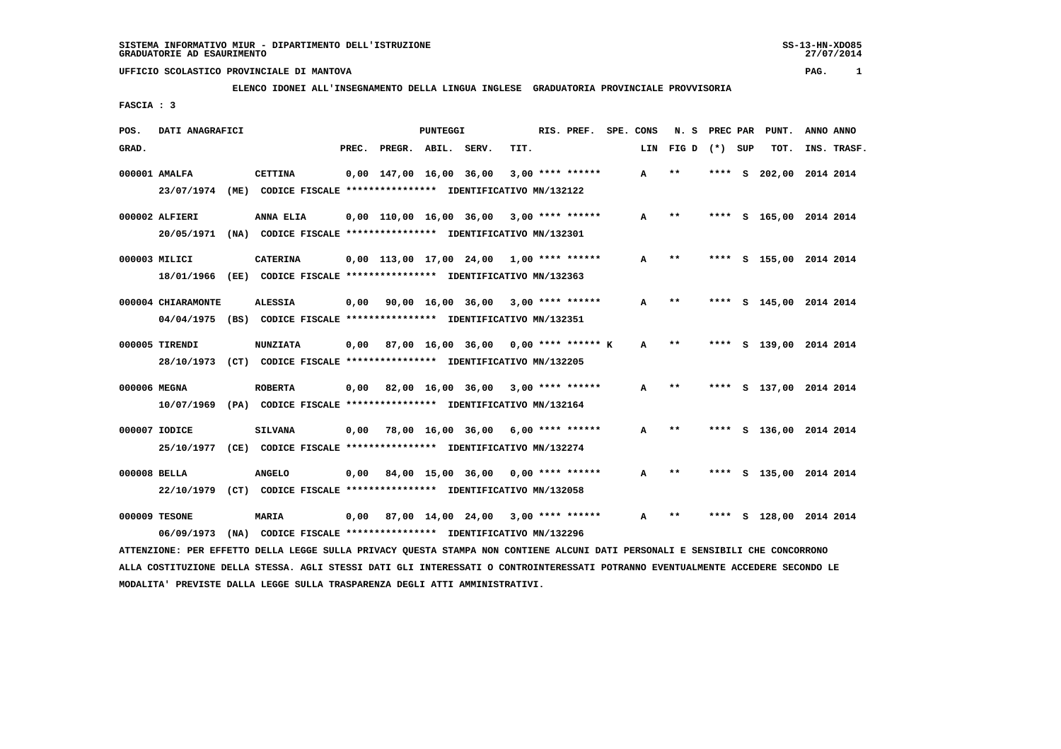**ELENCO IDONEI ALL'INSEGNAMENTO DELLA LINGUA INGLESE GRADUATORIA PROVINCIALE PROVVISORIA**

 **FASCIA : 3**

| POS.         | DATI ANAGRAFICI                  |      |                                                                                  |       |                         | PUNTEGGI |                                            |      | RIS. PREF.         | SPE. CONS |     | N. S                       | PREC PAR | PUNT.                   | ANNO ANNO   |
|--------------|----------------------------------|------|----------------------------------------------------------------------------------|-------|-------------------------|----------|--------------------------------------------|------|--------------------|-----------|-----|----------------------------|----------|-------------------------|-------------|
| GRAD.        |                                  |      |                                                                                  | PREC. | PREGR. ABIL. SERV.      |          |                                            | TIT. |                    |           | LIN | FIG D                      | (*) SUP  | TOT.                    | INS. TRASF. |
|              | 000001 AMALFA<br>23/07/1974      |      | <b>CETTINA</b><br>(ME) CODICE FISCALE **************** IDENTIFICATIVO MN/132122  |       | 0,00 147,00 16,00 36,00 |          |                                            |      | $3,00$ **** ****** |           | A   | $**$                       | **** S   | 202,00 2014 2014        |             |
|              | 000002 ALFIERI<br>20/05/1971     | (NA) | ANNA ELIA<br>CODICE FISCALE **************** IDENTIFICATIVO MN/132301            |       |                         |          | 0,00 110,00 16,00 36,00                    |      | $3,00$ **** ****** |           | A   | $* *$                      | ****     | S 165,00 2014 2014      |             |
|              | 000003 MILICI<br>18/01/1966      |      | <b>CATERINA</b><br>(EE) CODICE FISCALE *************** IDENTIFICATIVO MN/132363  |       |                         |          | $0,00$ 113,00 17,00 24,00 1,00 **** ****** |      |                    |           | A   | $* *$                      | ****     | S 155,00 2014 2014      |             |
|              | 000004 CHIARAMONTE<br>04/04/1975 |      | <b>ALESSIA</b><br>(BS) CODICE FISCALE **************** IDENTIFICATIVO MN/132351  | 0,00  |                         |          | $90,00$ 16,00 36,00 3,00 **** ******       |      |                    |           | A   | $\pmb{\times}\pmb{\times}$ |          | **** S 145,00 2014 2014 |             |
|              | 000005 TIRENDI<br>28/10/1973     |      | <b>NUNZIATA</b><br>(CT) CODICE FISCALE **************** IDENTIFICATIVO MN/132205 | 0,00  |                         |          | 87,00 16,00 36,00 0,00 **** ****** K       |      |                    |           | A   | $***$                      | ****     | S 139,00 2014 2014      |             |
| 000006 MEGNA | 10/07/1969                       |      | <b>ROBERTA</b><br>(PA) CODICE FISCALE **************** IDENTIFICATIVO MN/132164  |       |                         |          | $0.00$ 82.00 16.00 36.00 3.00 **** ******  |      |                    |           | A   | **                         |          | **** S 137,00 2014 2014 |             |
|              | 000007 IODICE<br>25/10/1977      |      | <b>SILVANA</b><br>(CE) CODICE FISCALE **************** IDENTIFICATIVO MN/132274  |       |                         |          | $0,00$ 78,00 16,00 36,00 6,00 **** ******  |      |                    |           | A   | $* *$                      | ****     | S 136,00 2014 2014      |             |
| 000008 BELLA | 22/10/1979                       |      | <b>ANGELO</b><br>(CT) CODICE FISCALE **************** IDENTIFICATIVO MN/132058   | 0.00  |                         |          | 84,00 15,00 36,00                          |      | 0,00 **** ******   |           | A   | **                         | ****     | S 135,00 2014 2014      |             |
|              | 000009 TESONE<br>06/09/1973      | (NA) | <b>MARIA</b><br>CODICE FISCALE **************** IDENTIFICATIVO MN/132296         | 0,00  |                         |          | 87,00 14,00 24,00 3,00 **** ******         |      |                    |           | A   | $\pmb{\times}\pmb{\times}$ | ****     | S 128,00 2014 2014      |             |

 **ATTENZIONE: PER EFFETTO DELLA LEGGE SULLA PRIVACY QUESTA STAMPA NON CONTIENE ALCUNI DATI PERSONALI E SENSIBILI CHE CONCORRONO ALLA COSTITUZIONE DELLA STESSA. AGLI STESSI DATI GLI INTERESSATI O CONTROINTERESSATI POTRANNO EVENTUALMENTE ACCEDERE SECONDO LE MODALITA' PREVISTE DALLA LEGGE SULLA TRASPARENZA DEGLI ATTI AMMINISTRATIVI.**

27/07/2014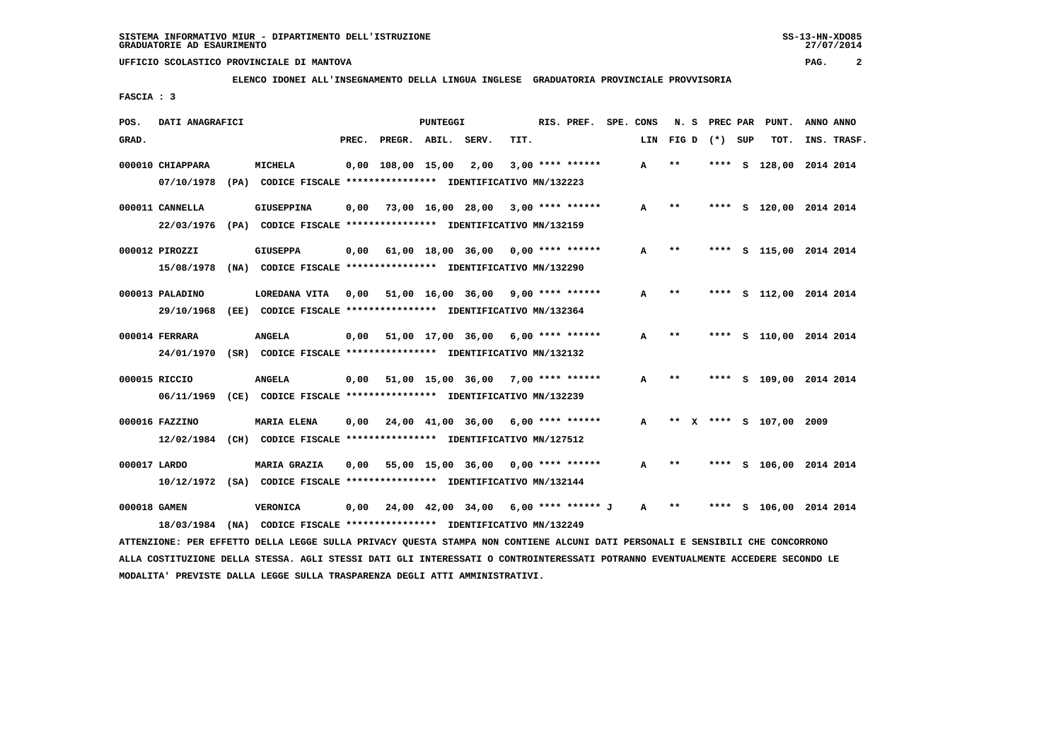**ELENCO IDONEI ALL'INSEGNAMENTO DELLA LINGUA INGLESE GRADUATORIA PROVINCIALE PROVVISORIA**

 **FASCIA : 3**

| POS.         | DATI ANAGRAFICI                                                                           |      |                                                                                     |       |                         | <b>PUNTEGGI</b> |                                      |      | RIS. PREF.         | SPE. CONS    | N.S               | PREC PAR |     | PUNT.                   | ANNO ANNO |             |
|--------------|-------------------------------------------------------------------------------------------|------|-------------------------------------------------------------------------------------|-------|-------------------------|-----------------|--------------------------------------|------|--------------------|--------------|-------------------|----------|-----|-------------------------|-----------|-------------|
| GRAD.        |                                                                                           |      |                                                                                     | PREC. | PREGR. ABIL.            |                 | SERV.                                | TIT. |                    | LIN          | FIG D             | $(*)$    | SUP | TOT.                    |           | INS. TRASF. |
|              | 000010 CHIAPPARA<br>07/10/1978                                                            |      | <b>MICHELA</b><br>(PA) CODICE FISCALE **************** IDENTIFICATIVO MN/132223     |       | $0,00$ $108,00$ $15,00$ |                 | 2,00                                 |      | $3,00$ **** ****** | $\mathbf{A}$ | $* *$             | ****     |     | S 128,00 2014 2014      |           |             |
|              | 000011 CANNELLA<br>22/03/1976                                                             |      | <b>GIUSEPPINA</b><br>(PA) CODICE FISCALE *************** IDENTIFICATIVO MN/132159   | 0.00  |                         |                 | 73,00 16,00 28,00                    |      | $3.00$ **** ****** | A            | $* *$             | ****     |     | S 120,00 2014 2014      |           |             |
|              | 000012 PIROZZI<br>15/08/1978                                                              |      | <b>GIUSEPPA</b><br>(NA) CODICE FISCALE **************** IDENTIFICATIVO MN/132290    | 0,00  |                         |                 | 61,00 18,00 36,00                    |      | $0.00$ **** ****** | A            | **                | ****     |     | S 115,00 2014 2014      |           |             |
|              | 000013 PALADINO<br>29/10/1968                                                             |      | LOREDANA VITA<br>(EE) CODICE FISCALE **************** IDENTIFICATIVO MN/132364      | 0,00  |                         |                 | 51,00 16,00 36,00                    |      | $9.00$ **** ****** | A            | **                | ****     |     | S 112,00 2014 2014      |           |             |
|              | 000014 FERRARA<br>24/01/1970 (SR) CODICE FISCALE *************** IDENTIFICATIVO MN/132132 |      | <b>ANGELA</b>                                                                       | 0,00  |                         |                 | 51,00 17,00 36,00                    |      | $6,00$ **** ****** | A            | $* *$             | ****     |     | S 110,00 2014 2014      |           |             |
|              | 000015 RICCIO<br>06/11/1969 (CE) CODICE FISCALE *************** IDENTIFICATIVO MN/132239  |      | <b>ANGELA</b>                                                                       |       |                         |                 | 0,00 51,00 15,00 36,00               |      | $7,00$ **** ****** | A            | $* *$             |          |     | **** S 109,00 2014 2014 |           |             |
|              | 000016 FAZZINO<br>12/02/1984                                                              |      | <b>MARIA ELENA</b><br>(CH) CODICE FISCALE **************** IDENTIFICATIVO MN/127512 |       |                         |                 | $0,00$ $24,00$ $41,00$ $36,00$       |      | $6.00$ **** ****** | A            | $* *$<br><b>X</b> |          |     | **** S 107,00 2009      |           |             |
| 000017 LARDO | 10/12/1972 (SA) CODICE FISCALE *************** IDENTIFICATIVO MN/132144                   |      | MARIA GRAZIA                                                                        | 0,00  |                         |                 | 55,00 15,00 36,00                    |      | $0.00$ **** ****** | A            | $\star\star$      | ****     |     | S 106,00 2014 2014      |           |             |
| 000018 GAMEN | 18/03/1984                                                                                | (NA) | <b>VERONICA</b><br>CODICE FISCALE **************** IDENTIFICATIVO MN/132249         | 0.00  |                         |                 | 24,00 42,00 34,00 6,00 **** ****** J |      |                    | A            | **                | ****     |     | S 106,00 2014 2014      |           |             |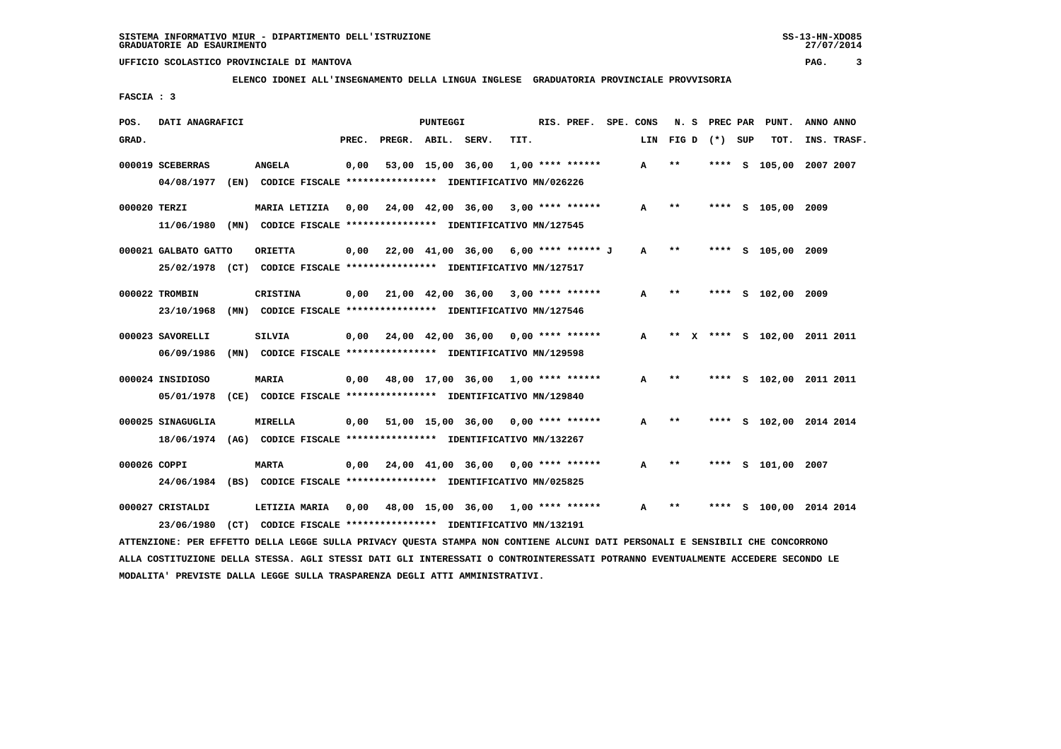**ELENCO IDONEI ALL'INSEGNAMENTO DELLA LINGUA INGLESE GRADUATORIA PROVINCIALE PROVVISORIA**

 **FASCIA : 3**

| POS.  | DATI ANAGRAFICI                        |                                                                                           |       |                                      | PUNTEGGI          |                                            |      | RIS. PREF. SPE. CONS |     | N.S   | PREC PAR |   | PUNT.              | ANNO ANNO                 |
|-------|----------------------------------------|-------------------------------------------------------------------------------------------|-------|--------------------------------------|-------------------|--------------------------------------------|------|----------------------|-----|-------|----------|---|--------------------|---------------------------|
| GRAD. |                                        |                                                                                           | PREC. | PREGR. ABIL. SERV.                   |                   |                                            | TIT. |                      | LIN | FIG D | (*) SUP  |   | TOT.               | INS. TRASF.               |
|       | 000019 SCEBERRAS<br>04/08/1977         | <b>ANGELA</b><br>(EN) CODICE FISCALE **************** IDENTIFICATIVO MN/026226            | 0,00  |                                      | 53,00 15,00 36,00 |                                            |      | $1,00$ **** ******   | A   | $**$  |          |   | **** S 105,00      | 2007 2007                 |
|       | 000020 TERZI                           | MARIA LETIZIA<br>11/06/1980 (MN) CODICE FISCALE *************** IDENTIFICATIVO MN/127545  | 0.00  |                                      |                   | $24,00$ $42,00$ $36,00$ $3,00$ **** ****** |      |                      | A   | **    |          |   | **** S 105,00 2009 |                           |
|       | 000021 GALBATO GATTO                   | <b>ORIETTA</b><br>25/02/1978 (CT) CODICE FISCALE *************** IDENTIFICATIVO MN/127517 | 0.00  | 22,00 41,00 36,00 6,00 **** ****** J |                   |                                            |      |                      | A   | $***$ |          |   | **** S 105,00 2009 |                           |
|       | 000022 TROMBIN<br>23/10/1968           | <b>CRISTINA</b><br>(MN) CODICE FISCALE **************** IDENTIFICATIVO MN/127546          | 0.00  | 21,00 42,00 36,00 3,00 **** ******   |                   |                                            |      |                      | A   | $* *$ |          |   | **** S 102,00 2009 |                           |
|       | 000023 SAVORELLI<br>06/09/1986<br>(MN) | <b>SILVIA</b><br>CODICE FISCALE **************** IDENTIFICATIVO MN/129598                 | 0.00  |                                      |                   | 24,00 42,00 36,00                          |      | $0.00$ **** ******   | A   | $* *$ |          |   |                    | X **** S 102,00 2011 2011 |
|       | 000024 INSIDIOSO<br>05/01/1978         | <b>MARIA</b><br>(CE) CODICE FISCALE **************** IDENTIFICATIVO MN/129840             | 0,00  | 48,00 17,00 36,00 1,00 **** ******   |                   |                                            |      |                      | A   | $***$ |          |   |                    | **** S 102,00 2011 2011   |
|       | 000025 SINAGUGLIA                      | <b>MIRELLA</b><br>18/06/1974 (AG) CODICE FISCALE *************** IDENTIFICATIVO MN/132267 | 0,00  |                                      |                   | $51,00$ 15,00 36,00 0,00 **** ******       |      |                      | A   | $***$ |          |   |                    | S 102,00 2014 2014        |
|       | 000026 COPPI                           | <b>MARTA</b><br>24/06/1984 (BS) CODICE FISCALE *************** IDENTIFICATIVO MN/025825   | 0,00  |                                      |                   | 24,00 41,00 36,00                          |      | $0.00$ **** ******   | A   | **    |          |   | **** S 101,00 2007 |                           |
|       | 000027 CRISTALDI<br>23/06/1980         | LETIZIA MARIA<br>(CT) CODICE FISCALE **************** IDENTIFICATIVO MN/132191            | 0,00  |                                      |                   | 48,00 15,00 36,00 1,00 **** ******         |      |                      | A   | $* *$ |          | s |                    | 100,00 2014 2014          |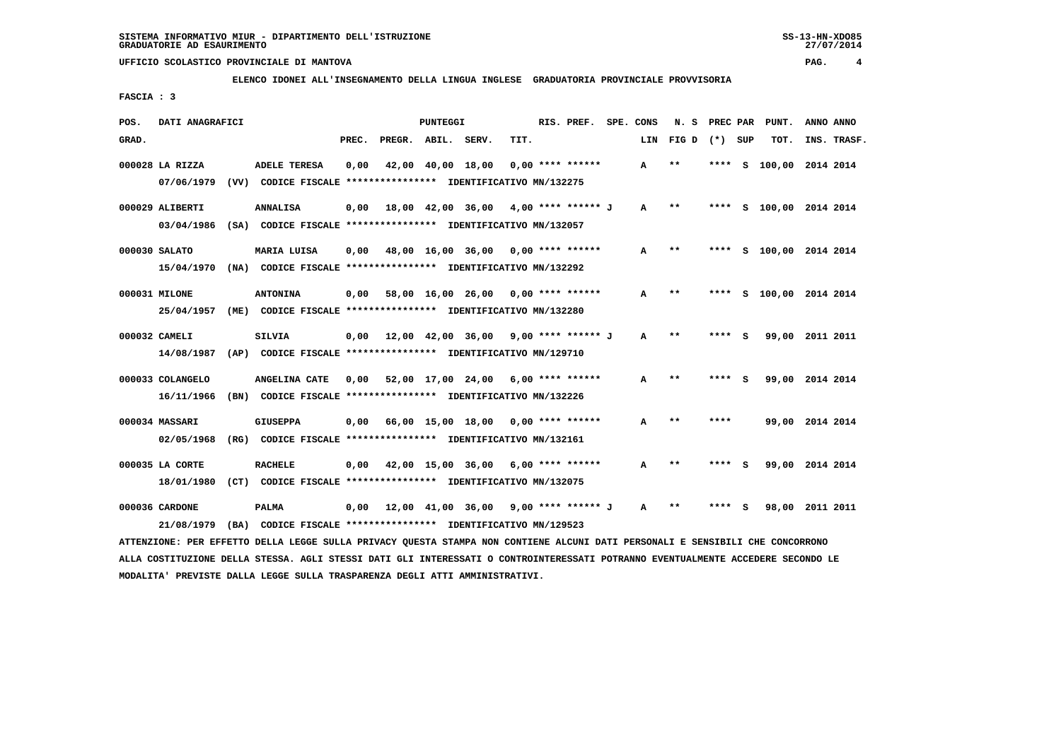**ELENCO IDONEI ALL'INSEGNAMENTO DELLA LINGUA INGLESE GRADUATORIA PROVINCIALE PROVVISORIA**

 **FASCIA : 3**

| POS.  | DATI ANAGRAFICI                |      |                                                                                      |       |                    | <b>PUNTEGGI</b> |                                                                               |      | RIS. PREF.           | SPE. CONS | N.S   | PREC PAR |     | PUNT.              | ANNO ANNO |             |
|-------|--------------------------------|------|--------------------------------------------------------------------------------------|-------|--------------------|-----------------|-------------------------------------------------------------------------------|------|----------------------|-----------|-------|----------|-----|--------------------|-----------|-------------|
| GRAD. |                                |      |                                                                                      | PREC. | PREGR. ABIL. SERV. |                 |                                                                               | TIT. |                      | LIN       | FIG D | $(*)$    | SUP | TOT.               |           | INS. TRASF. |
|       | 000028 LA RIZZA<br>07/06/1979  |      | <b>ADELE TERESA</b><br>(VV) CODICE FISCALE **************** IDENTIFICATIVO MN/132275 | 0,00  |                    |                 | 42,00 40,00 18,00                                                             |      | $0.00$ **** ******   | A         | $* *$ | **** S   |     | 100,00 2014 2014   |           |             |
|       | 000029 ALIBERTI<br>03/04/1986  | (SA) | <b>ANNALISA</b>                                                                      | 0,00  |                    |                 | 18,00 42,00 36,00<br>CODICE FISCALE **************** IDENTIFICATIVO MN/132057 |      | 4,00 **** ****** J   | A         | $* *$ | ****     |     | S 100,00 2014 2014 |           |             |
|       | 000030 SALATO<br>15/04/1970    | (NA) | MARIA LUISA                                                                          | 0,00  |                    |                 | 48,00 16,00 36,00<br>CODICE FISCALE **************** IDENTIFICATIVO MN/132292 |      | 0,00 **** ******     | A         | $* *$ | ****     |     | S 100,00 2014 2014 |           |             |
|       | 000031 MILONE<br>25/04/1957    | (ME) | <b>ANTONINA</b>                                                                      | 0.00  |                    |                 | 58,00 16,00 26,00<br>CODICE FISCALE **************** IDENTIFICATIVO MN/132280 |      | $0.00$ **** ******   | A         | $**$  | ****     | s   | 100,00 2014 2014   |           |             |
|       | 000032 CAMELI<br>14/08/1987    |      | <b>SILVIA</b><br>(AP) CODICE FISCALE **************** IDENTIFICATIVO MN/129710       | 0,00  |                    |                 | 12,00 42,00 36,00                                                             |      | 9,00 **** ****** J   | A         | $* *$ | **** S   |     | 99,00 2011 2011    |           |             |
|       | 000033 COLANGELO<br>16/11/1966 | (BN) | ANGELINA CATE                                                                        | 0,00  |                    |                 | 52,00 17,00 24,00<br>CODICE FISCALE **************** IDENTIFICATIVO MN/132226 |      | 6,00 **** ******     | A         | $* *$ | ****     | S.  | 99,00 2014 2014    |           |             |
|       | 000034 MASSARI<br>02/05/1968   | (RG) | <b>GIUSEPPA</b>                                                                      | 0.00  | 66,00 15,00 18,00  |                 | CODICE FISCALE **************** IDENTIFICATIVO MN/132161                      |      | $0.00$ **** ******   | A         | $* *$ | ****     |     | 99,00 2014 2014    |           |             |
|       | 000035 LA CORTE<br>18/01/1980  | (CT) | <b>RACHELE</b>                                                                       | 0,00  |                    |                 | 42,00 15,00 36,00<br>CODICE FISCALE **************** IDENTIFICATIVO MN/132075 |      | 6,00 **** ******     | A         | $* *$ | ****     |     | 99,00 2014 2014    |           |             |
|       | 000036 CARDONE<br>21/08/1979   |      | <b>PALMA</b><br>(BA) CODICE FISCALE **************** IDENTIFICATIVO MN/129523        | 0,00  |                    |                 | 12,00 41,00 36,00                                                             |      | $9,00$ **** ****** J | A         | $**$  |          |     | 98,00              | 2011 2011 |             |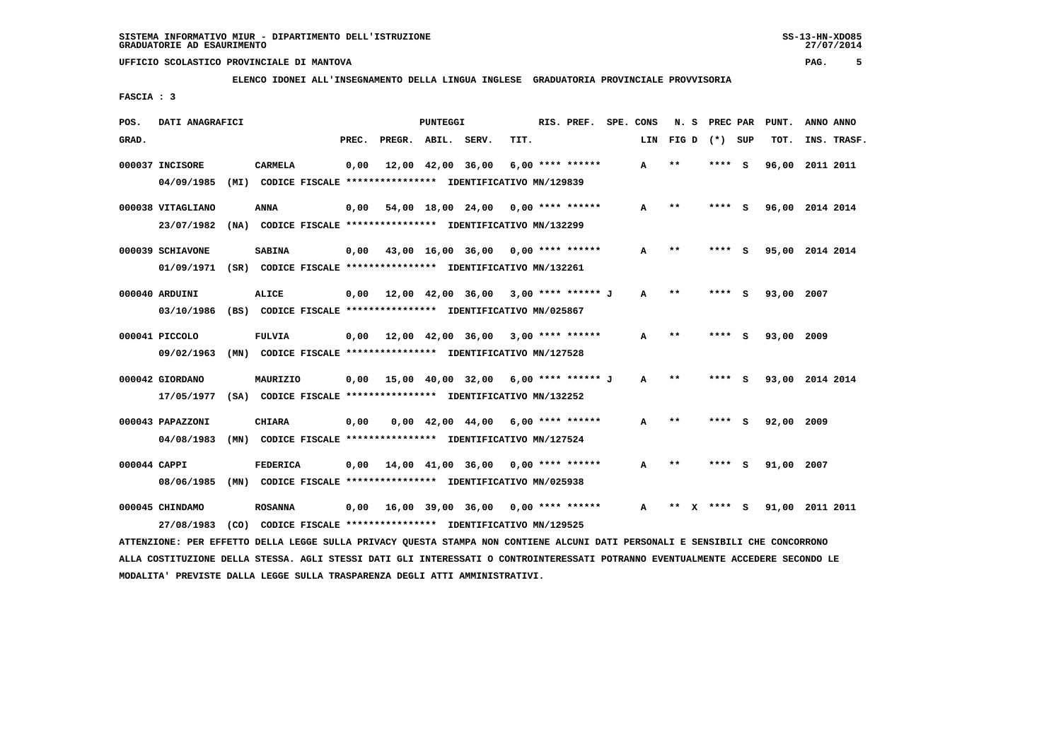**ELENCO IDONEI ALL'INSEGNAMENTO DELLA LINGUA INGLESE GRADUATORIA PROVINCIALE PROVVISORIA**

 **FASCIA : 3**

| POS.  | DATI ANAGRAFICI                                                                                                               |                 |       |                    | PUNTEGGI |                                                               |      | RIS. PREF.       | SPE. CONS    | N. S         | PREC PAR |     | PUNT.           | ANNO ANNO |             |
|-------|-------------------------------------------------------------------------------------------------------------------------------|-----------------|-------|--------------------|----------|---------------------------------------------------------------|------|------------------|--------------|--------------|----------|-----|-----------------|-----------|-------------|
| GRAD. |                                                                                                                               |                 | PREC. | PREGR. ABIL. SERV. |          |                                                               | TIT. |                  | LIN          | FIG D        | (*) SUP  |     | TOT.            |           | INS. TRASF. |
|       | 000037 INCISORE                                                                                                               | <b>CARMELA</b>  | 0,00  |                    |          | 12,00 42,00 36,00                                             |      | 6,00 **** ****** | A            | $* *$        | ****     | - 5 | 96,00 2011 2011 |           |             |
|       | 04/09/1985                                                                                                                    |                 |       |                    |          | (MI) CODICE FISCALE *************** IDENTIFICATIVO MN/129839  |      |                  |              |              |          |     |                 |           |             |
|       | 000038 VITAGLIANO                                                                                                             | <b>ANNA</b>     | 0.00  |                    |          | $54,00$ 18,00 24,00 0,00 **** ******                          |      |                  | A            | $* *$        | **** S   |     | 96,00 2014 2014 |           |             |
|       | 23/07/1982 (NA) CODICE FISCALE *************** IDENTIFICATIVO MN/132299                                                       |                 |       |                    |          |                                                               |      |                  |              |              |          |     |                 |           |             |
|       | 000039 SCHIAVONE                                                                                                              | <b>SABINA</b>   |       |                    |          | $0,00$ 43,00 16,00 36,00 0,00 **** ******                     |      |                  | А            | $* *$        | **** S   |     | 95,00 2014 2014 |           |             |
|       | 01/09/1971 (SR) CODICE FISCALE *************** IDENTIFICATIVO MN/132261                                                       |                 |       |                    |          |                                                               |      |                  |              |              |          |     |                 |           |             |
|       | 000040 ARDUINI                                                                                                                | <b>ALICE</b>    |       |                    |          | $0,00$ 12,00 42,00 36,00 3,00 **** ****** J                   |      |                  | $\mathbf{A}$ | $* *$        | **** S   |     | 93,00 2007      |           |             |
|       | 03/10/1986 (BS) CODICE FISCALE *************** IDENTIFICATIVO MN/025867                                                       |                 |       |                    |          |                                                               |      |                  |              |              |          |     |                 |           |             |
|       | 000041 PICCOLO                                                                                                                | <b>FULVIA</b>   |       |                    |          | $0,00$ 12,00 42,00 36,00 3,00 **** ******                     |      |                  | А            | $* *$        |          |     | 93,00 2009      |           |             |
|       | 09/02/1963                                                                                                                    |                 |       |                    |          | (MN) CODICE FISCALE **************** IDENTIFICATIVO MN/127528 |      |                  |              |              |          |     |                 |           |             |
|       | 000042 GIORDANO                                                                                                               | MAURIZIO        |       |                    |          | $0,00$ 15,00 40,00 32,00 6,00 **** ****** J                   |      |                  | A            | $***$        | **** S   |     | 93,00 2014 2014 |           |             |
|       | 17/05/1977 (SA) CODICE FISCALE *************** IDENTIFICATIVO MN/132252                                                       |                 |       |                    |          |                                                               |      |                  |              |              |          |     |                 |           |             |
|       | 000043 PAPAZZONI                                                                                                              | <b>CHIARA</b>   | 0,00  |                    |          | $0,00$ 42,00 44,00 6,00 **** ******                           |      |                  | A            | $* *$        | **** S   |     | 92,00 2009      |           |             |
|       | 04/08/1983                                                                                                                    |                 |       |                    |          | (MN) CODICE FISCALE **************** IDENTIFICATIVO MN/127524 |      |                  |              |              |          |     |                 |           |             |
|       | 000044 CAPPI                                                                                                                  | <b>FEDERICA</b> |       |                    |          | $0,00$ 14,00 41,00 36,00 0,00 **** ******                     |      |                  | A            | $\star\star$ | **** S   |     | 91,00 2007      |           |             |
|       | 08/06/1985                                                                                                                    |                 |       |                    |          | (MN) CODICE FISCALE **************** IDENTIFICATIVO MN/025938 |      |                  |              |              |          |     |                 |           |             |
|       |                                                                                                                               |                 |       |                    |          |                                                               |      |                  |              |              |          |     |                 |           |             |
|       | 000045 CHINDAMO                                                                                                               | <b>ROSANNA</b>  |       |                    |          | 0,00 16,00 39,00 36,00                                        |      | 0,00 **** ****** | $\mathbf{A}$ | **           | $***$ S  |     | 91,00 2011 2011 |           |             |
|       | 27/08/1983                                                                                                                    |                 |       |                    |          | (CO) CODICE FISCALE **************** IDENTIFICATIVO MN/129525 |      |                  |              |              |          |     |                 |           |             |
|       | ATTENZIONE: PER EFFETTO DELLA LEGGE SULLA PRIVACY QUESTA STAMPA NON CONTIENE ALCUNI DATI PERSONALI E SENSIBILI CHE CONCORRONO |                 |       |                    |          |                                                               |      |                  |              |              |          |     |                 |           |             |

 **ALLA COSTITUZIONE DELLA STESSA. AGLI STESSI DATI GLI INTERESSATI O CONTROINTERESSATI POTRANNO EVENTUALMENTE ACCEDERE SECONDO LE MODALITA' PREVISTE DALLA LEGGE SULLA TRASPARENZA DEGLI ATTI AMMINISTRATIVI.**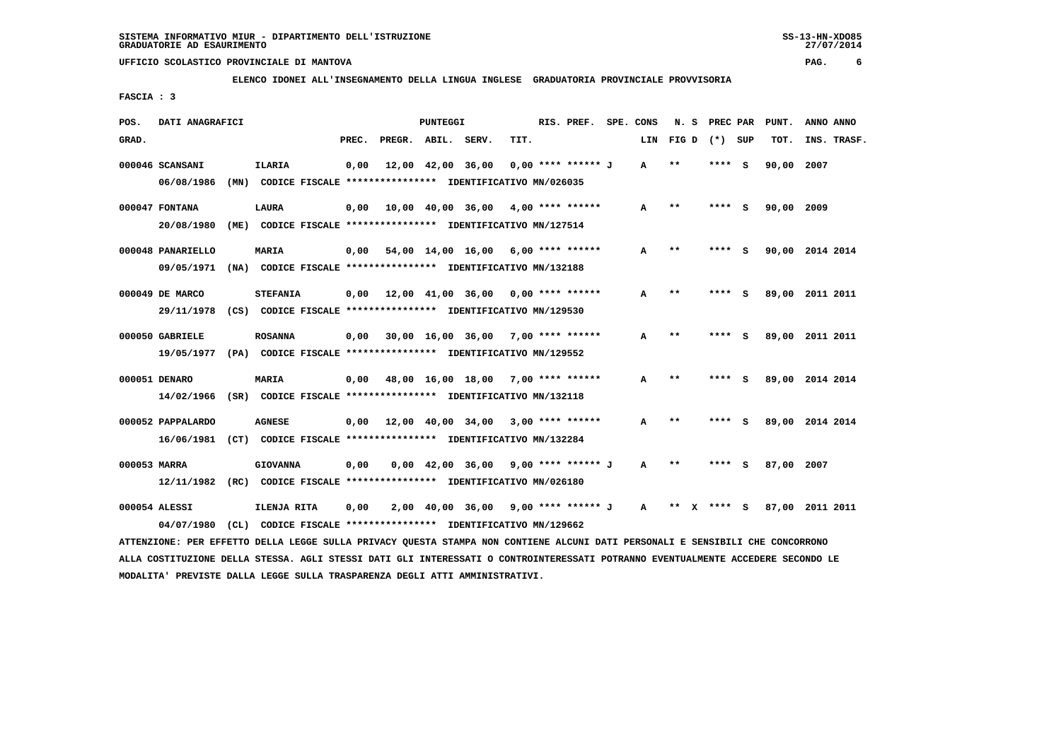**ELENCO IDONEI ALL'INSEGNAMENTO DELLA LINGUA INGLESE GRADUATORIA PROVINCIALE PROVVISORIA**

 **FASCIA : 3**

| POS.  | DATI ANAGRAFICI                                                          |      |                                                               |                                                          |       |                    | PUNTEGGI |                                           |      | RIS. PREF.           | SPE. CONS    | N.S   |         | PREC PAR | PUNT.      | ANNO ANNO       |
|-------|--------------------------------------------------------------------------|------|---------------------------------------------------------------|----------------------------------------------------------|-------|--------------------|----------|-------------------------------------------|------|----------------------|--------------|-------|---------|----------|------------|-----------------|
| GRAD. |                                                                          |      |                                                               |                                                          | PREC. | PREGR. ABIL. SERV. |          |                                           | TIT. |                      | LIN          | FIG D | (*) SUP |          | TOT.       | INS. TRASF.     |
|       | 000046 SCANSANI                                                          |      | <b>ILARIA</b>                                                 |                                                          | 0,00  |                    |          | 12,00 42,00 36,00                         |      | $0.00$ **** ****** J | A            | $***$ | ****    | - S      | 90,00 2007 |                 |
|       | 06/08/1986                                                               | (MN) |                                                               | CODICE FISCALE **************** IDENTIFICATIVO MN/026035 |       |                    |          |                                           |      |                      |              |       |         |          |            |                 |
|       | 000047 FONTANA                                                           |      | LAURA                                                         |                                                          | 0.00  |                    |          | 10,00 40,00 36,00                         |      | 4,00 **** ******     | A            | $* *$ | ****    | s        | 90,00 2009 |                 |
|       | 20/08/1980                                                               |      | (ME) CODICE FISCALE **************** IDENTIFICATIVO MN/127514 |                                                          |       |                    |          |                                           |      |                      |              |       |         |          |            |                 |
|       | 000048 PANARIELLO                                                        |      | MARIA                                                         |                                                          |       |                    |          | $0.00$ 54.00 14.00 16.00 6.00 **** ****** |      |                      | A            | $* *$ |         | S.       |            | 90,00 2014 2014 |
|       | 09/05/1971 (NA) CODICE FISCALE *************** IDENTIFICATIVO MN/132188  |      |                                                               |                                                          |       |                    |          |                                           |      |                      |              |       |         |          |            |                 |
|       | 000049 DE MARCO                                                          |      | <b>STEFANIA</b>                                               |                                                          | 0.00  | 12,00 41,00 36,00  |          |                                           |      | $0.00$ **** ******   | A            | $* *$ | ****    | - S      |            | 89,00 2011 2011 |
|       | 29/11/1978 (CS) CODICE FISCALE *************** IDENTIFICATIVO MN/129530  |      |                                                               |                                                          |       |                    |          |                                           |      |                      |              |       |         |          |            |                 |
|       | 000050 GABRIELE                                                          |      | <b>ROSANNA</b>                                                |                                                          | 0,00  |                    |          | $30,00$ 16,00 36,00 7,00 **** ******      |      |                      | A            | $* *$ | ****    | S        |            | 89,00 2011 2011 |
|       | 19/05/1977 (PA) CODICE FISCALE **************** IDENTIFICATIVO MN/129552 |      |                                                               |                                                          |       |                    |          |                                           |      |                      |              |       |         |          |            |                 |
|       | 000051 DENARO                                                            |      | MARIA                                                         |                                                          | 0,00  |                    |          | 48,00 16,00 18,00 7,00 **** ******        |      |                      | A            | $* *$ |         | s        |            | 89,00 2014 2014 |
|       | 14/02/1966 (SR) CODICE FISCALE **************** IDENTIFICATIVO MN/132118 |      |                                                               |                                                          |       |                    |          |                                           |      |                      |              |       |         |          |            |                 |
|       | 000052 PAPPALARDO                                                        |      | <b>AGNESE</b>                                                 |                                                          | 0,00  |                    |          | 12,00 40,00 34,00                         |      | $3,00$ **** ******   | A            | $* *$ |         |          |            | 89,00 2014 2014 |
|       | 16/06/1981 (CT) CODICE FISCALE *************** IDENTIFICATIVO MN/132284  |      |                                                               |                                                          |       |                    |          |                                           |      |                      |              |       |         |          |            |                 |
|       | 000053 MARRA                                                             |      | <b>GIOVANNA</b>                                               |                                                          | 0.00  |                    |          | 0,00 42,00 36,00                          |      | 9,00 **** ****** J   | A            | $* *$ |         | s        | 87,00      | 2007            |
|       | 12/11/1982 (RC) CODICE FISCALE *************** IDENTIFICATIVO MN/026180  |      |                                                               |                                                          |       |                    |          |                                           |      |                      |              |       |         |          |            |                 |
|       | 000054 ALESSI                                                            |      | ILENJA RITA                                                   |                                                          | 0,00  |                    |          | 2,00 40,00 36,00                          |      | 9,00 **** ****** J   | $\mathbf{A}$ | $* *$ | ****    | <b>S</b> |            | 87,00 2011 2011 |
|       | 04/07/1980                                                               | CL)  |                                                               | CODICE FISCALE **************** IDENTIFICATIVO MN/129662 |       |                    |          |                                           |      |                      |              |       |         |          |            |                 |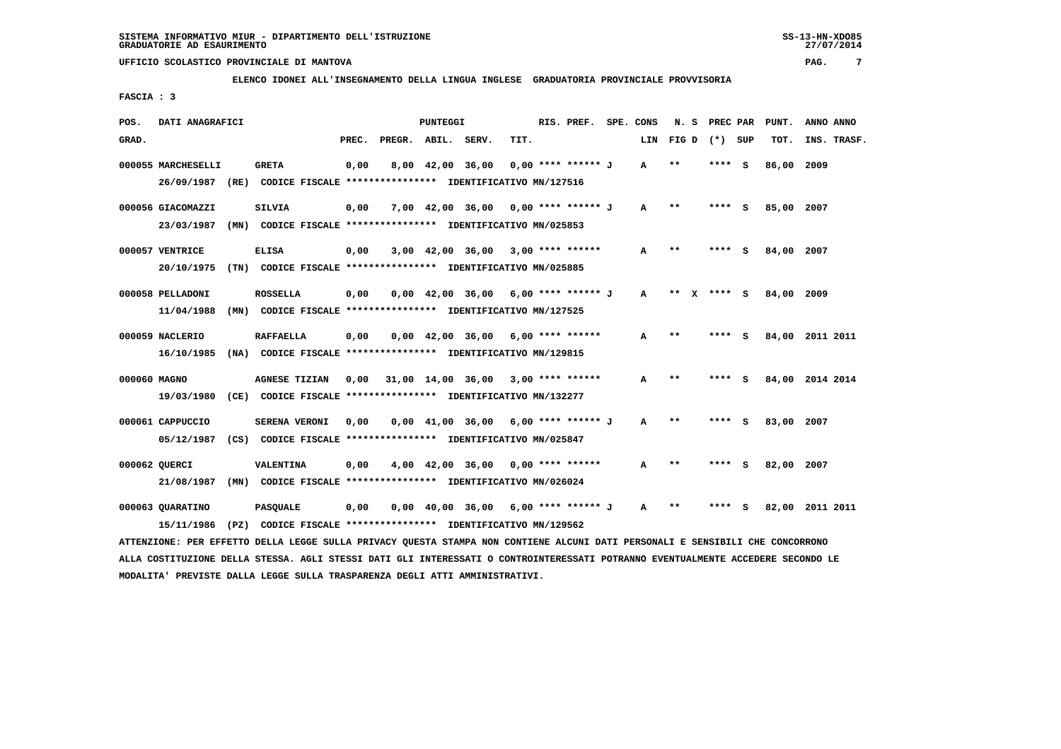**ELENCO IDONEI ALL'INSEGNAMENTO DELLA LINGUA INGLESE GRADUATORIA PROVINCIALE PROVVISORIA**

 **FASCIA : 3**

| POS.            | DATI ANAGRAFICI                                                                                                               |                      |       |                    | PUNTEGGI |                                                                       |      | RIS. PREF. SPE. CONS |              | N.S   | PREC PAR        |     | PUNT.      | ANNO ANNO       |  |
|-----------------|-------------------------------------------------------------------------------------------------------------------------------|----------------------|-------|--------------------|----------|-----------------------------------------------------------------------|------|----------------------|--------------|-------|-----------------|-----|------------|-----------------|--|
| GRAD.           |                                                                                                                               |                      | PREC. | PREGR. ABIL. SERV. |          |                                                                       | TIT. |                      | LIN          |       | $FIG D (*) SUB$ |     | TOT.       | INS. TRASF.     |  |
|                 | 000055 MARCHESELLI                                                                                                            | <b>GRETA</b>         | 0,00  |                    |          | 8,00 42,00 36,00                                                      |      | $0,00$ **** ****** J | $\mathbf{A}$ | $***$ | **** S          |     | 86,00 2009 |                 |  |
|                 | 26/09/1987 (RE) CODICE FISCALE *************** IDENTIFICATIVO MN/127516                                                       |                      |       |                    |          |                                                                       |      |                      |              |       |                 |     |            |                 |  |
|                 | 000056 GIACOMAZZI                                                                                                             | <b>SILVIA</b>        | 0,00  |                    |          | 7,00 42,00 36,00 0,00 **** ****** J                                   |      |                      | A            | $* *$ | ****            | - S | 85,00 2007 |                 |  |
|                 | 23/03/1987 (MN) CODICE FISCALE *************** IDENTIFICATIVO MN/025853                                                       |                      |       |                    |          |                                                                       |      |                      |              |       |                 |     |            |                 |  |
| 000057 VENTRICE |                                                                                                                               | <b>ELISA</b>         | 0,00  |                    |          | $3,00$ $42,00$ $36,00$ $3,00$ **** ******                             |      |                      | A            | **    | $***$ S         |     | 84,00 2007 |                 |  |
|                 | 20/10/1975 (TN) CODICE FISCALE *************** IDENTIFICATIVO MN/025885                                                       |                      |       |                    |          |                                                                       |      |                      |              |       |                 |     |            |                 |  |
|                 | 000058 PELLADONI                                                                                                              | <b>ROSSELLA</b>      | 0,00  |                    |          | $0.00 \quad 42.00 \quad 36.00 \quad 6.00 \quad *** \quad *** \quad J$ |      |                      | A            |       | ** $X$ **** S   |     | 84,00 2009 |                 |  |
|                 | 11/04/1988                                                                                                                    |                      |       |                    |          | (MN) CODICE FISCALE **************** IDENTIFICATIVO MN/127525         |      |                      |              |       |                 |     |            |                 |  |
| 000059 NACLERIO |                                                                                                                               | <b>RAFFAELLA</b>     | 0,00  |                    |          | $0.00 \quad 42.00 \quad 36.00 \quad 6.00 \quad *** \quad ***$         |      |                      | A            | **    | **** S          |     |            | 84,00 2011 2011 |  |
|                 | 16/10/1985                                                                                                                    |                      |       |                    |          | (NA) CODICE FISCALE **************** IDENTIFICATIVO MN/129815         |      |                      |              |       |                 |     |            |                 |  |
|                 |                                                                                                                               |                      |       |                    |          |                                                                       |      |                      |              |       |                 |     |            |                 |  |
| 000060 MAGNO    |                                                                                                                               | <b>AGNESE TIZIAN</b> |       |                    |          | $0,00$ 31,00 14,00 36,00 3,00 **** ******                             |      |                      | A            | $***$ | **** S          |     |            | 84,00 2014 2014 |  |
|                 | 19/03/1980                                                                                                                    |                      |       |                    |          | (CE) CODICE FISCALE **************** IDENTIFICATIVO MN/132277         |      |                      |              |       |                 |     |            |                 |  |
|                 | 000061 CAPPUCCIO                                                                                                              | <b>SERENA VERONI</b> | 0,00  |                    |          | $0,00$ 41,00 36,00 6,00 **** ****** J                                 |      |                      | $\mathbf{A}$ | $* *$ | **** S          |     | 83,00 2007 |                 |  |
|                 | 05/12/1987 (CS) CODICE FISCALE *************** IDENTIFICATIVO MN/025847                                                       |                      |       |                    |          |                                                                       |      |                      |              |       |                 |     |            |                 |  |
| 000062 OUERCI   |                                                                                                                               | <b>VALENTINA</b>     | 0,00  |                    |          | $4,00$ $42,00$ $36,00$ $0,00$ $***$ **** ******                       |      |                      | A            | $* *$ | **** S          |     | 82,00 2007 |                 |  |
|                 | 21/08/1987 (MN) CODICE FISCALE *************** IDENTIFICATIVO MN/026024                                                       |                      |       |                    |          |                                                                       |      |                      |              |       |                 |     |            |                 |  |
|                 | 000063 OUARATINO                                                                                                              | <b>PASQUALE</b>      | 0,00  |                    |          | $0.00 \quad 40.00 \quad 36.00 \quad 6.00 \quad *** \quad *** \quad J$ |      |                      | A            | **    | ****            | - S |            | 82,00 2011 2011 |  |
|                 | 15/11/1986                                                                                                                    |                      |       |                    |          | (PZ) CODICE FISCALE **************** IDENTIFICATIVO MN/129562         |      |                      |              |       |                 |     |            |                 |  |
|                 | ATTENZIONE: PER EFFETTO DELLA LEGGE SULLA PRIVACY QUESTA STAMPA NON CONTIENE ALCUNI DATI PERSONALI E SENSIBILI CHE CONCORRONO |                      |       |                    |          |                                                                       |      |                      |              |       |                 |     |            |                 |  |

 **ALLA COSTITUZIONE DELLA STESSA. AGLI STESSI DATI GLI INTERESSATI O CONTROINTERESSATI POTRANNO EVENTUALMENTE ACCEDERE SECONDO LE MODALITA' PREVISTE DALLA LEGGE SULLA TRASPARENZA DEGLI ATTI AMMINISTRATIVI.**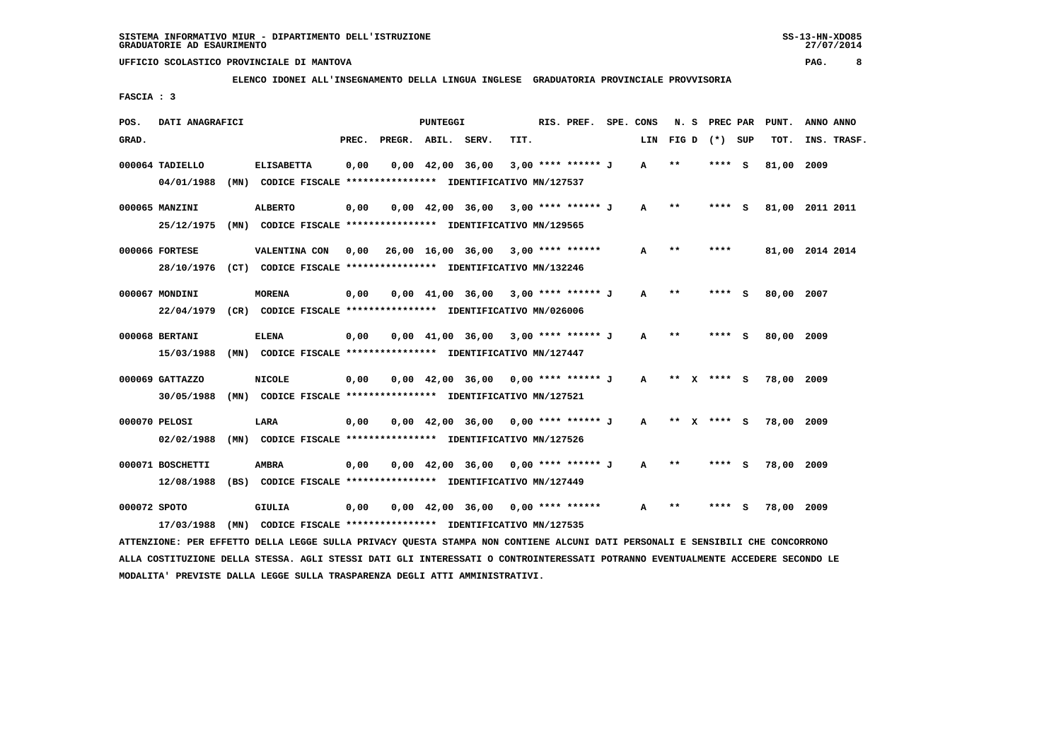**ELENCO IDONEI ALL'INSEGNAMENTO DELLA LINGUA INGLESE GRADUATORIA PROVINCIALE PROVVISORIA**

 **FASCIA : 3**

| POS.  | DATI ANAGRAFICI                                                                           |                                                                                   |       |                    | <b>PUNTEGGI</b> |                                                                       |      | RIS. PREF.           | SPE. CONS    | N. S        | PREC PAR |     | PUNT.      | ANNO ANNO       |
|-------|-------------------------------------------------------------------------------------------|-----------------------------------------------------------------------------------|-------|--------------------|-----------------|-----------------------------------------------------------------------|------|----------------------|--------------|-------------|----------|-----|------------|-----------------|
| GRAD. |                                                                                           |                                                                                   | PREC. | PREGR. ABIL. SERV. |                 |                                                                       | TIT. |                      | LIN          | FIG D       | (*) SUP  |     | TOT.       | INS. TRASF.     |
|       | 000064 TADIELLO<br>04/01/1988                                                             | <b>ELISABETTA</b><br>(MN) CODICE FISCALE *************** IDENTIFICATIVO MN/127537 | 0,00  |                    |                 | $0,00 \quad 42,00 \quad 36,00$                                        |      | $3,00$ **** ****** J | A            | $* *$       | **** S   |     | 81,00      | 2009            |
|       | 000065 MANZINI<br>25/12/1975                                                              | <b>ALBERTO</b><br>(MN) CODICE FISCALE *************** IDENTIFICATIVO MN/129565    | 0,00  |                    |                 | $0,00$ 42,00 36,00 3,00 **** ****** J                                 |      |                      | $\mathbf{A}$ | $* *$       | ****     | - S |            | 81,00 2011 2011 |
|       | 000066 FORTESE<br>28/10/1976 (CT) CODICE FISCALE *************** IDENTIFICATIVO MN/132246 | VALENTINA CON                                                                     |       |                    |                 | 0,00  26,00  16,00  36,00  3,00  ****  ******                         |      |                      | A            | $***$       | ****     |     |            | 81,00 2014 2014 |
|       | 000067 MONDINI<br>22/04/1979                                                              | <b>MORENA</b><br>(CR) CODICE FISCALE **************** IDENTIFICATIVO MN/026006    | 0,00  |                    |                 | $0.00 \quad 41.00 \quad 36.00 \quad 3.00 \quad *** \quad *** \quad J$ |      |                      | $\mathbf{A}$ | $* *$       | **** S   |     | 80,00      | 2007            |
|       | 000068 BERTANI<br>15/03/1988                                                              | <b>ELENA</b><br>(MN) CODICE FISCALE **************** IDENTIFICATIVO MN/127447     | 0,00  |                    |                 | $0.00 \quad 41.00 \quad 36.00 \quad 3.00 \quad *** \quad *** \quad J$ |      |                      | $\mathbf{A}$ | $* *$       | ****     | - S | 80,00 2009 |                 |
|       | 000069 GATTAZZO<br>30/05/1988                                                             | <b>NICOLE</b><br>(MN) CODICE FISCALE **************** IDENTIFICATIVO MN/127521    | 0,00  |                    |                 | $0.00 \quad 42.00 \quad 36.00 \quad 0.00 \quad *** \quad *** \quad J$ |      |                      | $\mathbf{A}$ | ** x **** S |          |     | 78,00 2009 |                 |
|       | 000070 PELOSI<br>02/02/1988                                                               | LARA<br>(MN) CODICE FISCALE **************** IDENTIFICATIVO MN/127526             | 0,00  |                    |                 | $0,00$ 42,00 36,00 0,00 **** ****** J                                 |      |                      | $\mathbf{A}$ | ** x **** S |          |     | 78,00 2009 |                 |
|       | 000071 BOSCHETTI<br>12/08/1988                                                            | <b>AMBRA</b><br>(BS) CODICE FISCALE **************** IDENTIFICATIVO MN/127449     | 0,00  |                    |                 | $0,00$ 42,00 36,00 0,00 **** ****** J                                 |      |                      | A            | $* *$       | **** S   |     | 78,00 2009 |                 |
|       | 000072 SPOTO<br>17/03/1988                                                                | GIULIA<br>(MN) CODICE FISCALE *************** IDENTIFICATIVO MN/127535            | 0,00  |                    |                 | $0,00$ 42,00 36,00 0,00 **** ******                                   |      |                      | A            | $* *$       |          | s   | 78,00 2009 |                 |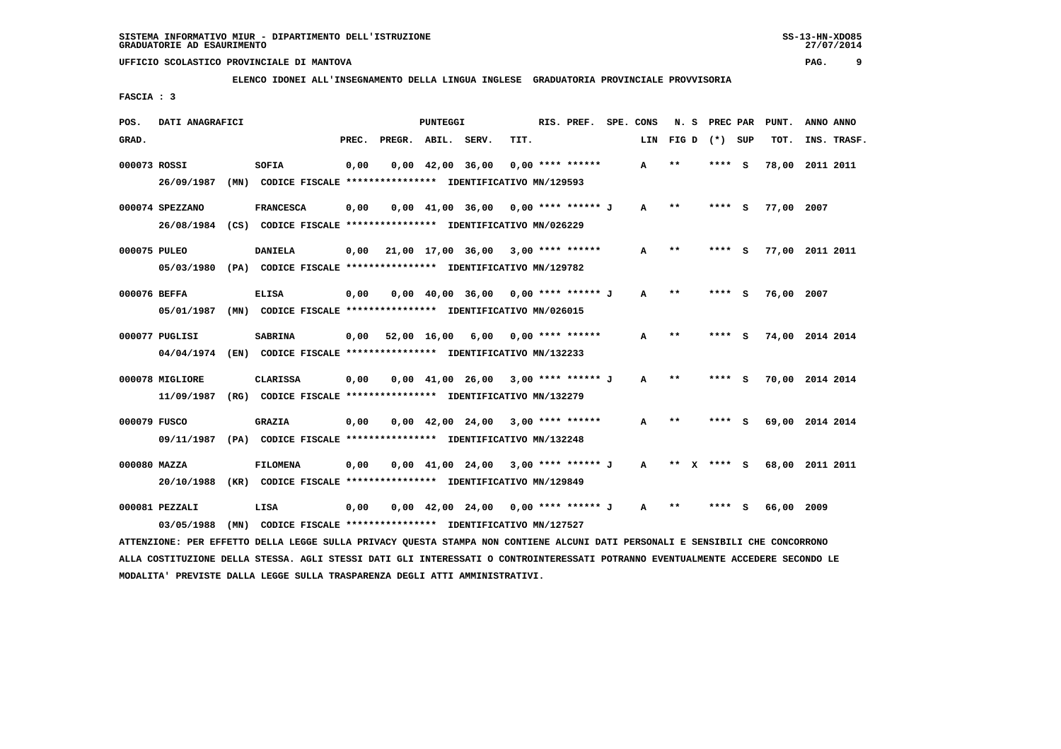**ELENCO IDONEI ALL'INSEGNAMENTO DELLA LINGUA INGLESE GRADUATORIA PROVINCIALE PROVVISORIA**

 **FASCIA : 3**

| POS.  | DATI ANAGRAFICI                                                                            |      |                  |                                                               |       |              | PUNTEGGI |                                                                       |      | RIS. PREF.         | SPE. CONS    | N.S     | PREC PAR |     | PUNT.      | ANNO ANNO       |
|-------|--------------------------------------------------------------------------------------------|------|------------------|---------------------------------------------------------------|-------|--------------|----------|-----------------------------------------------------------------------|------|--------------------|--------------|---------|----------|-----|------------|-----------------|
| GRAD. |                                                                                            |      |                  |                                                               | PREC. | PREGR. ABIL. |          | SERV.                                                                 | TIT. |                    | LIN          | FIG D   | (*) SUP  |     | TOT.       | INS. TRASF.     |
|       | 000073 ROSSI<br>26/09/1987                                                                 | (MN) | SOFIA            | CODICE FISCALE **************** IDENTIFICATIVO MN/129593      | 0,00  |              |          | $0,00 \quad 42,00 \quad 36,00$                                        |      | $0.00$ **** ****** | A            | $**$    | $***$ S  |     | 78,00      | 2011 2011       |
|       |                                                                                            |      |                  |                                                               |       |              |          |                                                                       |      |                    |              |         |          |     |            |                 |
|       | 000074 SPEZZANO<br>26/08/1984 (CS) CODICE FISCALE *************** IDENTIFICATIVO MN/026229 |      | <b>FRANCESCA</b> |                                                               | 0,00  |              |          | $0,00$ 41,00 36,00 0,00 **** ****** J                                 |      |                    | $\mathbf{A}$ | $* *$   | **** S   |     | 77,00 2007 |                 |
|       | 000075 PULEO                                                                               |      | <b>DANIELA</b>   |                                                               | 0.00  |              |          | 21,00 17,00 36,00                                                     |      | $3,00$ **** ****** | A            | $* *$   | ****     | - S |            | 77,00 2011 2011 |
|       | 05/03/1980                                                                                 |      |                  | (PA) CODICE FISCALE **************** IDENTIFICATIVO MN/129782 |       |              |          |                                                                       |      |                    |              |         |          |     |            |                 |
|       | 000076 BEFFA                                                                               |      | <b>ELISA</b>     |                                                               | 0,00  |              |          | $0,00$ 40,00 36,00 0,00 **** ****** J                                 |      |                    | A            | $* *$   | **** S   |     | 76,00 2007 |                 |
|       | 05/01/1987                                                                                 |      |                  | (MN) CODICE FISCALE **************** IDENTIFICATIVO MN/026015 |       |              |          |                                                                       |      |                    |              |         |          |     |            |                 |
|       | 000077 PUGLISI                                                                             |      | <b>SABRINA</b>   |                                                               | 0,00  | 52,00 16,00  |          | 6,00                                                                  |      | $0.00$ **** ****** | A            | $* *$   | **** S   |     |            | 74,00 2014 2014 |
|       | 04/04/1974 (EN) CODICE FISCALE *************** IDENTIFICATIVO MN/132233                    |      |                  |                                                               |       |              |          |                                                                       |      |                    |              |         |          |     |            |                 |
|       | 000078 MIGLIORE                                                                            |      | <b>CLARISSA</b>  |                                                               | 0,00  |              |          | $0,00$ 41,00 26,00 3,00 **** ****** J                                 |      |                    | A            | $* *$   | **** S   |     |            | 70,00 2014 2014 |
|       | 11/09/1987 (RG) CODICE FISCALE *************** IDENTIFICATIVO MN/132279                    |      |                  |                                                               |       |              |          |                                                                       |      |                    |              |         |          |     |            |                 |
|       | 000079 FUSCO                                                                               |      | <b>GRAZIA</b>    |                                                               | 0,00  |              |          | $0.00 \quad 42.00 \quad 24.00 \quad 3.00 \quad *** \quad ***$         |      |                    | A            | $* *$   |          | - S |            | 69,00 2014 2014 |
|       | 09/11/1987                                                                                 |      |                  | (PA) CODICE FISCALE **************** IDENTIFICATIVO MN/132248 |       |              |          |                                                                       |      |                    |              |         |          |     |            |                 |
|       | 000080 MAZZA                                                                               |      | <b>FILOMENA</b>  |                                                               | 0,00  |              |          | $0.00 \quad 41.00 \quad 24.00$                                        |      | 3,00 **** ****** J | $\mathbf{A}$ | $***$ X | **** S   |     |            | 68,00 2011 2011 |
|       | 20/10/1988                                                                                 |      |                  | (KR) CODICE FISCALE **************** IDENTIFICATIVO MN/129849 |       |              |          |                                                                       |      |                    |              |         |          |     |            |                 |
|       | 000081 PEZZALI                                                                             |      | LISA             |                                                               | 0,00  |              |          | $0.00 \quad 42.00 \quad 24.00 \quad 0.00 \quad *** \quad *** \quad J$ |      |                    | A            | $* *$   | **** S   |     | 66,00 2009 |                 |
|       | 03/05/1988                                                                                 | (MN) |                  | CODICE FISCALE **************** IDENTIFICATIVO MN/127527      |       |              |          |                                                                       |      |                    |              |         |          |     |            |                 |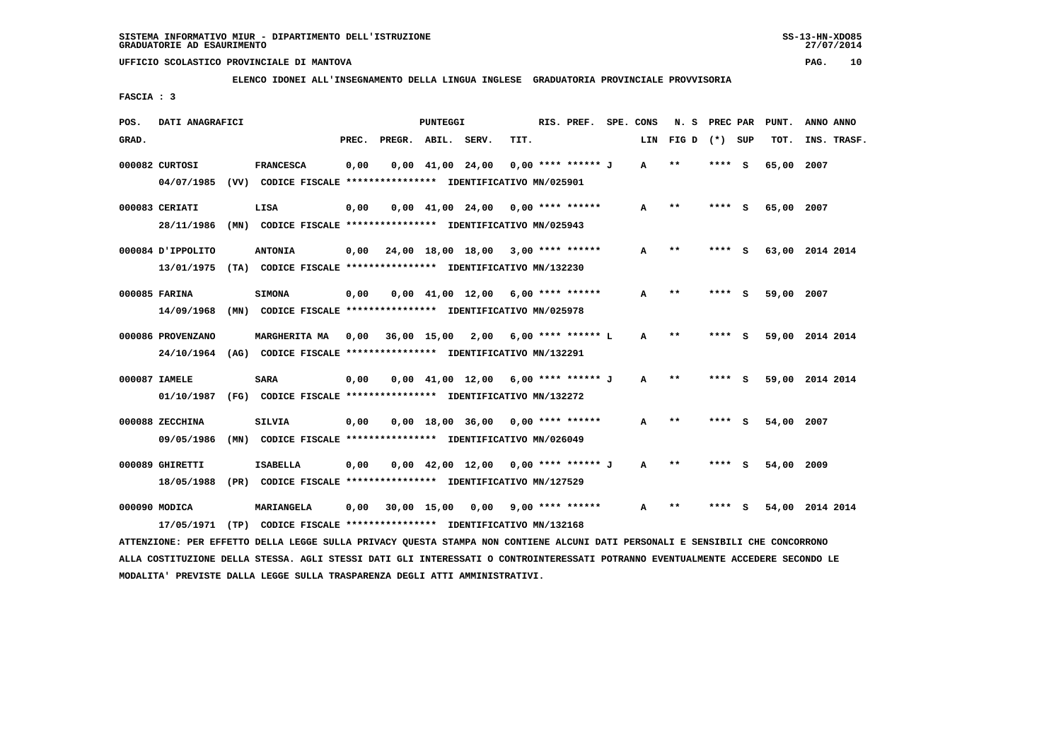**MODALITA' PREVISTE DALLA LEGGE SULLA TRASPARENZA DEGLI ATTI AMMINISTRATIVI.**

# **UFFICIO SCOLASTICO PROVINCIALE DI MANTOVA PAG. 10**

 **ELENCO IDONEI ALL'INSEGNAMENTO DELLA LINGUA INGLESE GRADUATORIA PROVINCIALE PROVVISORIA**

 **FASCIA : 3**

| POS.  | DATI ANAGRAFICI   |                                                                                                                                 |       |                                     | PUNTEGGI |                                                                       |      | RIS. PREF. SPE. CONS |     | N. S         | PREC PAR |     | PUNT.      | ANNO ANNO       |
|-------|-------------------|---------------------------------------------------------------------------------------------------------------------------------|-------|-------------------------------------|----------|-----------------------------------------------------------------------|------|----------------------|-----|--------------|----------|-----|------------|-----------------|
| GRAD. |                   |                                                                                                                                 | PREC. | PREGR. ABIL.                        |          | SERV.                                                                 | TIT. |                      | LIN | FIG D        | $(*)$    | SUP | TOT.       | INS. TRASF.     |
|       | 000082 CURTOSI    | <b>FRANCESCA</b>                                                                                                                | 0,00  |                                     |          | $0,00$ $41,00$ $24,00$                                                |      | 0,00 **** ****** J   | A   | $***$        | ****     | s   | 65,00      | 2007            |
|       |                   | 04/07/1985 (VV) CODICE FISCALE *************** IDENTIFICATIVO MN/025901                                                         |       |                                     |          |                                                                       |      |                      |     |              |          |     |            |                 |
|       | 000083 CERIATI    | LISA                                                                                                                            | 0,00  |                                     |          | $0,00$ 41,00 24,00 0,00 **** ******                                   |      |                      | A   | $* *$        | **** S   |     | 65,00 2007 |                 |
|       |                   | 28/11/1986 (MN) CODICE FISCALE *************** IDENTIFICATIVO MN/025943                                                         |       |                                     |          |                                                                       |      |                      |     |              |          |     |            |                 |
|       | 000084 J'IPPOLITO | <b>ANTONIA</b>                                                                                                                  | 0,00  | 24,00 18,00 18,00 3,00 **** ******  |          |                                                                       |      |                      | А   | $**$         | **** S   |     |            | 63,00 2014 2014 |
|       |                   | 13/01/1975 (TA) CODICE FISCALE *************** IDENTIFICATIVO MN/132230                                                         |       |                                     |          |                                                                       |      |                      |     |              |          |     |            |                 |
|       | 000085 FARINA     | <b>SIMONA</b>                                                                                                                   | 0,00  |                                     |          | $0,00$ 41,00 12,00 6,00 **** ******                                   |      |                      | A   | $* *$        | **** S   |     | 59,00 2007 |                 |
|       |                   | 14/09/1968 (MN) CODICE FISCALE *************** IDENTIFICATIVO MN/025978                                                         |       |                                     |          |                                                                       |      |                      |     |              |          |     |            |                 |
|       |                   |                                                                                                                                 |       |                                     |          |                                                                       |      |                      |     |              |          |     |            |                 |
|       | 000086 PROVENZANO | <b>MARGHERITA MA</b>                                                                                                            | 0,00  | 36,00 15,00 2,00 6,00 **** ****** L |          |                                                                       |      |                      | A   | $* *$        | **** S   |     |            | 59,00 2014 2014 |
|       |                   | 24/10/1964 (AG) CODICE FISCALE **************** IDENTIFICATIVO MN/132291                                                        |       |                                     |          |                                                                       |      |                      |     |              |          |     |            |                 |
|       | 000087 IAMELE     | <b>SARA</b>                                                                                                                     | 0,00  |                                     |          | $0.00 \quad 41.00 \quad 12.00 \quad 6.00 \quad *** \quad *** \quad J$ |      |                      | A   | $* *$        | ****     | - S |            | 59,00 2014 2014 |
|       |                   | 01/10/1987 (FG) CODICE FISCALE *************** IDENTIFICATIVO MN/132272                                                         |       |                                     |          |                                                                       |      |                      |     |              |          |     |            |                 |
|       | 000088 ZECCHINA   | <b>SILVIA</b>                                                                                                                   | 0,00  |                                     |          | $0,00$ 18,00 36,00 0,00 **** ******                                   |      |                      | A   | $\star\star$ | **** S   |     | 54,00 2007 |                 |
|       | 09/05/1986        | (MN) CODICE FISCALE **************** IDENTIFICATIVO MN/026049                                                                   |       |                                     |          |                                                                       |      |                      |     |              |          |     |            |                 |
|       | 000089 GHIRETTI   | <b>ISABELLA</b>                                                                                                                 | 0,00  |                                     |          | $0,00$ 42,00 12,00 0,00 **** ****** J                                 |      |                      | A   | $\star\star$ | **** S   |     | 54,00 2009 |                 |
|       | 18/05/1988        | (PR) CODICE FISCALE **************** IDENTIFICATIVO MN/127529                                                                   |       |                                     |          |                                                                       |      |                      |     |              |          |     |            |                 |
|       | 000090 MODICA     | MARIANGELA                                                                                                                      | 0,00  |                                     |          | 30,00 15,00 0,00                                                      |      | $9,00$ **** ******   | A   | $\star\star$ | ****     | - 5 |            | 54,00 2014 2014 |
|       |                   |                                                                                                                                 |       |                                     |          |                                                                       |      |                      |     |              |          |     |            |                 |
|       |                   | 17/05/1971 (TP) CODICE FISCALE **************** IDENTIFICATIVO MN/132168                                                        |       |                                     |          |                                                                       |      |                      |     |              |          |     |            |                 |
|       |                   | ATTENZIONE: PER EFFETTO DELLA LEGGE SULLA PRIVACY QUESTA STAMPA NON CONTIENE ALCUNI DATI PERSONALI E SENSIBILI CHE CONCORRONO   |       |                                     |          |                                                                       |      |                      |     |              |          |     |            |                 |
|       |                   | ALLA COSTITUZIONE DELLA STESSA. AGLI STESSI DATI GLI INTERESSATI O CONTROINTERESSATI POTRANNO EVENTUALMENTE ACCEDERE SECONDO LE |       |                                     |          |                                                                       |      |                      |     |              |          |     |            |                 |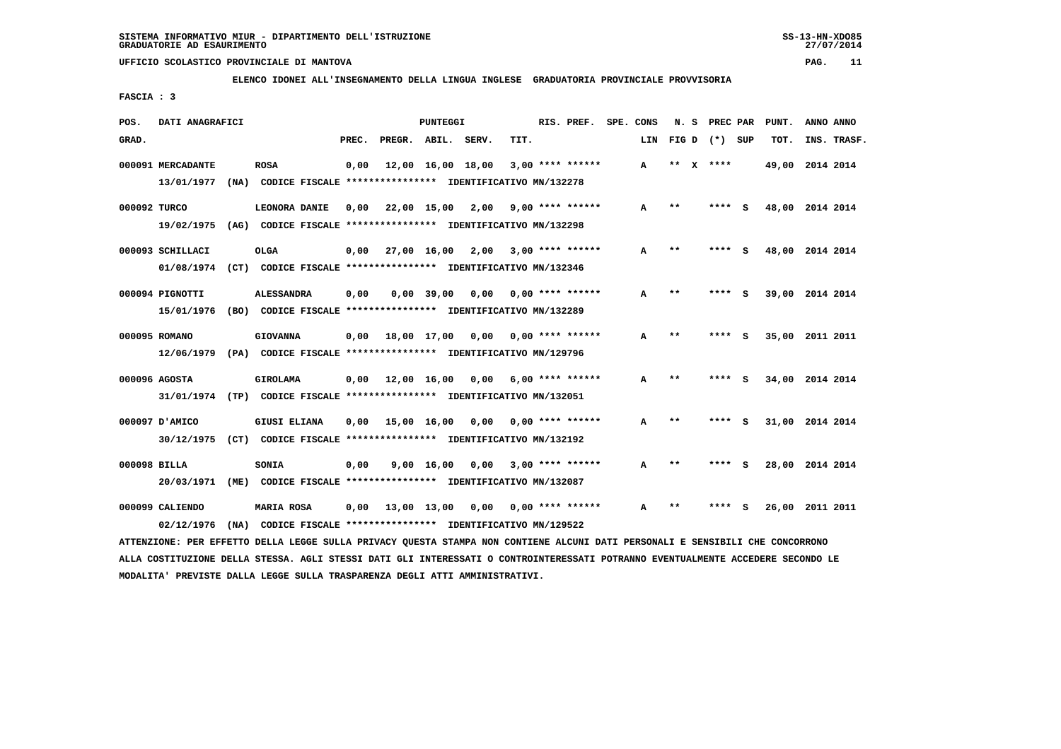**ELENCO IDONEI ALL'INSEGNAMENTO DELLA LINGUA INGLESE GRADUATORIA PROVINCIALE PROVVISORIA**

 **FASCIA : 3**

| POS.         | DATI ANAGRAFICI                                                         |      |                                                               |       |                        | PUNTEGGI           |                   |      | RIS. PREF.         | SPE. CONS |     | N. S  | PREC PAR |     | PUNT.           | ANNO ANNO |             |
|--------------|-------------------------------------------------------------------------|------|---------------------------------------------------------------|-------|------------------------|--------------------|-------------------|------|--------------------|-----------|-----|-------|----------|-----|-----------------|-----------|-------------|
| GRAD.        |                                                                         |      |                                                               | PREC. | PREGR. ABIL.           |                    | SERV.             | TIT. |                    |           | LIN | FIG D | $(*)$    | SUP | TOT.            |           | INS. TRASF. |
|              | 000091 MERCADANTE                                                       |      | <b>ROSA</b>                                                   | 0,00  |                        |                    | 12,00 16,00 18,00 |      | $3,00$ **** ****** |           | A   | **    | $X$ **** |     | 49,00 2014 2014 |           |             |
|              | 13/01/1977                                                              | (NA) | CODICE FISCALE **************** IDENTIFICATIVO MN/132278      |       |                        |                    |                   |      |                    |           |     |       |          |     |                 |           |             |
| 000092 TURCO |                                                                         |      | LEONORA DANIE                                                 | 0.00  | 22,00 15,00            |                    | 2,00              |      | $9,00$ **** ****** |           | A   | $**$  | ****     | - 5 | 48,00 2014 2014 |           |             |
|              | 19/02/1975                                                              |      | (AG) CODICE FISCALE **************** IDENTIFICATIVO MN/132298 |       |                        |                    |                   |      |                    |           |     |       |          |     |                 |           |             |
|              | 000093 SCHILLACI                                                        |      | <b>OLGA</b>                                                   | 0,00  | 27,00 16,00            |                    | 2,00              |      | $3,00$ **** ****** |           | A   | $* *$ | ****     | S   | 48,00           | 2014 2014 |             |
|              | 01/08/1974 (CT) CODICE FISCALE *************** IDENTIFICATIVO MN/132346 |      |                                                               |       |                        |                    |                   |      |                    |           |     |       |          |     |                 |           |             |
|              | 000094 PIGNOTTI                                                         |      | <b>ALESSANDRA</b>                                             | 0,00  |                        | $0,00$ 39,00       | 0,00              |      | $0.00$ **** ****** |           | А   | $* *$ |          | s   | 39,00           | 2014 2014 |             |
|              | 15/01/1976                                                              |      | (BO) CODICE FISCALE **************** IDENTIFICATIVO MN/132289 |       |                        |                    |                   |      |                    |           |     |       |          |     |                 |           |             |
|              | 000095 ROMANO                                                           |      | <b>GIOVANNA</b>                                               | 0,00  | 18,00 17,00            |                    | 0,00              |      | $0.00$ **** ****** |           | A   | $* *$ | **** S   |     | 35,00 2011 2011 |           |             |
|              | 12/06/1979 (PA) CODICE FISCALE *************** IDENTIFICATIVO MN/129796 |      |                                                               |       |                        |                    |                   |      |                    |           |     |       |          |     |                 |           |             |
|              | 000096 AGOSTA                                                           |      | <b>GIROLAMA</b>                                               |       | $0,00$ $12,00$ $16,00$ |                    | 0,00              |      | $6.00$ **** ****** |           | A   | $* *$ | ****     | s.  | 34,00 2014 2014 |           |             |
|              | 31/01/1974 (TP) CODICE FISCALE *************** IDENTIFICATIVO MN/132051 |      |                                                               |       |                        |                    |                   |      |                    |           |     |       |          |     |                 |           |             |
|              | 000097 D'AMICO                                                          |      | <b>GIUSI ELIANA</b>                                           | 0,00  | 15,00 16,00            |                    | 0.00              |      | $0.00$ **** ****** |           | A   | $* *$ | ****     | - S | 31,00 2014 2014 |           |             |
|              | 30/12/1975 (CT) CODICE FISCALE *************** IDENTIFICATIVO MN/132192 |      |                                                               |       |                        |                    |                   |      |                    |           |     |       |          |     |                 |           |             |
|              | 000098 BILLA                                                            |      | SONIA                                                         | 0,00  |                        | $9,00 \quad 16,00$ | 0,00              |      | $3,00$ **** ****** |           | A   | $* *$ | ****     | - S | 28,00           | 2014 2014 |             |
|              | 20/03/1971                                                              | (ME) | CODICE FISCALE **************** IDENTIFICATIVO MN/132087      |       |                        |                    |                   |      |                    |           |     |       |          |     |                 |           |             |
|              | 000099 CALIENDO                                                         |      | <b>MARIA ROSA</b>                                             | 0.00  | 13,00 13,00            |                    | 0,00              |      | $0.00$ **** ****** |           | А   | $* *$ |          |     | 26,00           | 2011 2011 |             |
|              | 02/12/1976                                                              | (NA) | CODICE FISCALE **************** IDENTIFICATIVO MN/129522      |       |                        |                    |                   |      |                    |           |     |       |          |     |                 |           |             |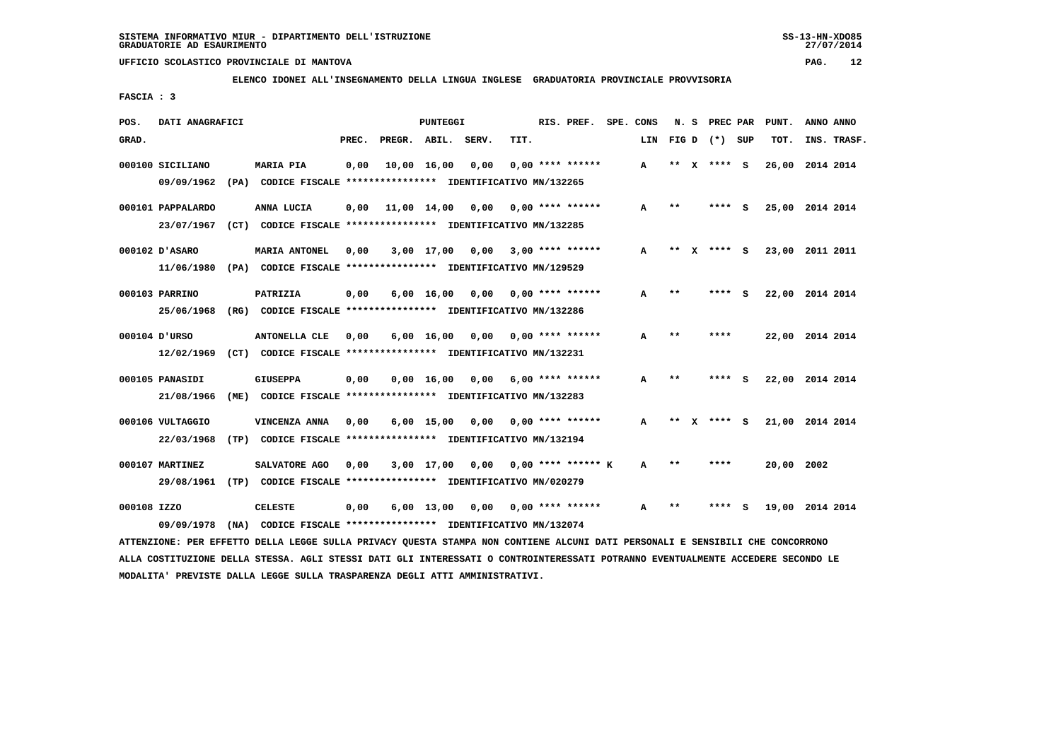**ELENCO IDONEI ALL'INSEGNAMENTO DELLA LINGUA INGLESE GRADUATORIA PROVINCIALE PROVVISORIA**

 **FASCIA : 3**

| POS.        | DATI ANAGRAFICI   |                                                                                                                               |       |                    | PUNTEGGI           |                                    |      | RIS. PREF. SPE. CONS      |     | N.S   |   | <b>PREC PAR</b> |     | PUNT.           | ANNO ANNO |             |
|-------------|-------------------|-------------------------------------------------------------------------------------------------------------------------------|-------|--------------------|--------------------|------------------------------------|------|---------------------------|-----|-------|---|-----------------|-----|-----------------|-----------|-------------|
| GRAD.       |                   |                                                                                                                               | PREC. | PREGR. ABIL. SERV. |                    |                                    | TIT. |                           | LIN |       |   | FIG D $(*)$ SUP |     | TOT.            |           | INS. TRASF. |
|             | 000100 SICILIANO  | <b>MARIA PIA</b>                                                                                                              | 0,00  | 10,00 16,00        |                    | 0,00                               |      | $0.00$ **** ******        | A   | $***$ | x | **** S          |     | 26,00           | 2014 2014 |             |
|             | 09/09/1962        | (PA) CODICE FISCALE **************** IDENTIFICATIVO MN/132265                                                                 |       |                    |                    |                                    |      |                           |     |       |   |                 |     |                 |           |             |
|             | 000101 PAPPALARDO | ANNA LUCIA                                                                                                                    | 0,00  | 11,00 14,00        |                    | 0,00                               |      | $0.00$ **** ******        | A   | $***$ |   | **** S          |     | 25,00 2014 2014 |           |             |
|             | 23/07/1967        | (CT) CODICE FISCALE **************** IDENTIFICATIVO MN/132285                                                                 |       |                    |                    |                                    |      |                           |     |       |   |                 |     |                 |           |             |
|             | 000102 D'ASARO    | <b>MARIA ANTONEL</b>                                                                                                          | 0.00  |                    |                    | 3,00 17,00 0,00                    |      | $3,00$ **** ******        | A   | $***$ | x | $***$ S         |     | 23,00 2011 2011 |           |             |
|             |                   | 11/06/1980 (PA) CODICE FISCALE *************** IDENTIFICATIVO MN/129529                                                       |       |                    |                    |                                    |      |                           |     |       |   |                 |     |                 |           |             |
|             | 000103 PARRINO    | PATRIZIA                                                                                                                      | 0,00  |                    |                    | $6,00$ 16,00 0,00 0,00 **** ****** |      |                           | A   | $* *$ |   | ****            | - S | 22,00 2014 2014 |           |             |
|             | 25/06/1968        | (RG) CODICE FISCALE **************** IDENTIFICATIVO MN/132286                                                                 |       |                    |                    |                                    |      |                           |     |       |   |                 |     |                 |           |             |
|             |                   |                                                                                                                               |       |                    |                    |                                    |      |                           |     |       |   |                 |     |                 |           |             |
|             | 000104 D'URSO     | <b>ANTONELLA CLE</b>                                                                                                          | 0,00  |                    | $6,00 \quad 16,00$ |                                    |      | $0,00$ $0,00$ **** ****** | A   | $* *$ |   | ****            |     | 22,00 2014 2014 |           |             |
|             | 12/02/1969        | (CT) CODICE FISCALE **************** IDENTIFICATIVO MN/132231                                                                 |       |                    |                    |                                    |      |                           |     |       |   |                 |     |                 |           |             |
|             | 000105 PANASIDI   | <b>GIUSEPPA</b>                                                                                                               | 0,00  |                    | 0,00 16,00         | 0,00                               |      | $6,00$ **** ******        | A   | $* *$ |   | ****            | - S | 22,00 2014 2014 |           |             |
|             | 21/08/1966        | (ME) CODICE FISCALE **************** IDENTIFICATIVO MN/132283                                                                 |       |                    |                    |                                    |      |                           |     |       |   |                 |     |                 |           |             |
|             | 000106 VULTAGGIO  | VINCENZA ANNA                                                                                                                 | 0,00  |                    |                    | $6,00$ 15,00 0,00 0,00 **** ****** |      |                           | A   | $***$ | X | **** S          |     | 21,00 2014 2014 |           |             |
|             | 22/03/1968        | (TP) CODICE FISCALE **************** IDENTIFICATIVO MN/132194                                                                 |       |                    |                    |                                    |      |                           |     |       |   |                 |     |                 |           |             |
|             | 000107 MARTINEZ   | SALVATORE AGO                                                                                                                 | 0,00  |                    | 3,00 17,00         |                                    |      | $0.00$ 0.00 **** ****** K | A   | $* *$ |   | ****            |     | 20,00 2002      |           |             |
|             |                   |                                                                                                                               |       |                    |                    |                                    |      |                           |     |       |   |                 |     |                 |           |             |
|             | 29/08/1961        | (TP) CODICE FISCALE **************** IDENTIFICATIVO MN/020279                                                                 |       |                    |                    |                                    |      |                           |     |       |   |                 |     |                 |           |             |
| 000108 IZZO |                   | <b>CELESTE</b>                                                                                                                | 0,00  |                    | 6,00 13,00         | 0,00                               |      | $0.00$ **** ******        | A   | $**$  |   |                 | s   | 19,00 2014 2014 |           |             |
|             | 09/09/1978        | (NA) CODICE FISCALE **************** IDENTIFICATIVO MN/132074                                                                 |       |                    |                    |                                    |      |                           |     |       |   |                 |     |                 |           |             |
|             |                   | ATTENZIONE: PER EFFETTO DELLA LEGGE SULLA PRIVACY QUESTA STAMPA NON CONTIENE ALCUNI DATI PERSONALI E SENSIBILI CHE CONCORRONO |       |                    |                    |                                    |      |                           |     |       |   |                 |     |                 |           |             |

 **ALLA COSTITUZIONE DELLA STESSA. AGLI STESSI DATI GLI INTERESSATI O CONTROINTERESSATI POTRANNO EVENTUALMENTE ACCEDERE SECONDO LE MODALITA' PREVISTE DALLA LEGGE SULLA TRASPARENZA DEGLI ATTI AMMINISTRATIVI.**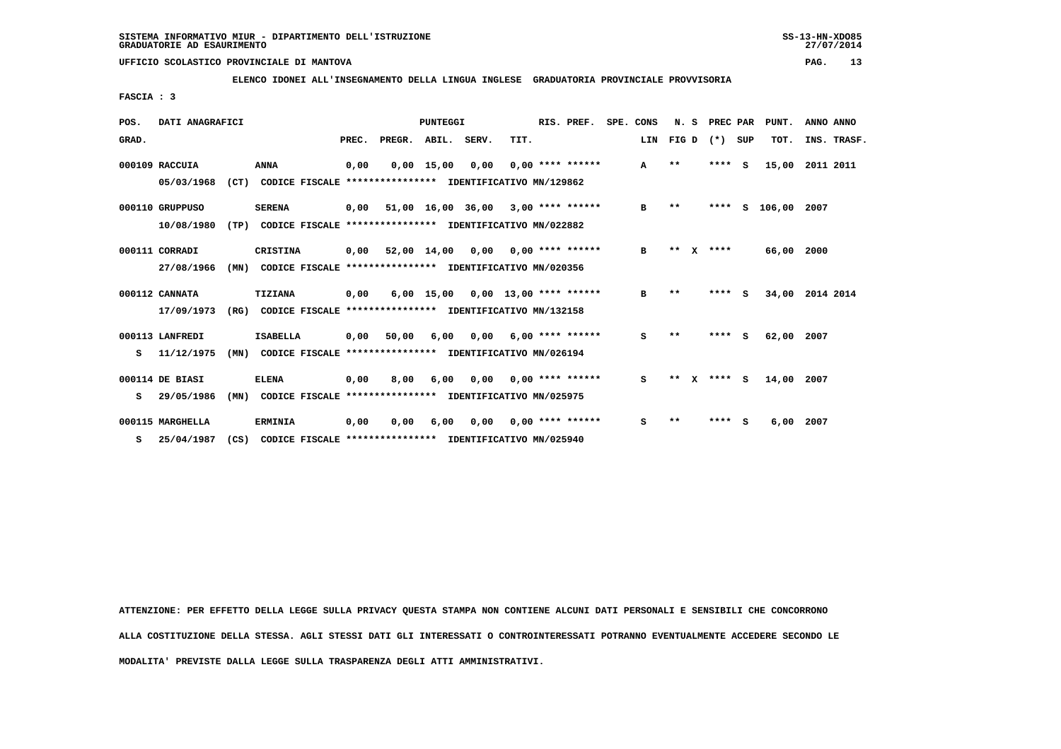**ELENCO IDONEI ALL'INSEGNAMENTO DELLA LINGUA INGLESE GRADUATORIA PROVINCIALE PROVVISORIA**

 **FASCIA : 3**

| POS.                                                                           | DATI ANAGRAFICI                                                                |      |                                                          | <b>PUNTEGGI</b> |        |                   |      |      | RIS. PREF. |                          | SPE. CONS | N.S       |       | PREC PAR |          | PUNT.    | ANNO ANNO |             |
|--------------------------------------------------------------------------------|--------------------------------------------------------------------------------|------|----------------------------------------------------------|-----------------|--------|-------------------|------|------|------------|--------------------------|-----------|-----------|-------|----------|----------|----------|-----------|-------------|
| GRAD.                                                                          |                                                                                |      |                                                          | PREC.           | PREGR. | ABIL. SERV.       |      | TIT. |            |                          |           | LIN FIG D |       |          | (*) SUP  |          | TOT.      | INS. TRASF. |
|                                                                                | 000109 RACCUIA                                                                 |      | <b>ANNA</b>                                              | 0,00            |        | $0,00$ 15,00      | 0,00 |      |            | $0.00$ **** ******       |           | A         | $* *$ |          | ****     | - S      | 15,00     | 2011 2011   |
|                                                                                | 05/03/1968<br>(CT)<br>CODICE FISCALE **************** IDENTIFICATIVO MN/129862 |      |                                                          |                 |        |                   |      |      |            |                          |           |           |       |          |          |          |           |             |
|                                                                                | 000110 GRUPPUSO                                                                |      | <b>SERENA</b>                                            | 0,00            |        | 51,00 16,00 36,00 |      |      |            | $3,00$ **** ******       |           | в         | $**$  |          | ****     | s        | 106,00    | 2007        |
| 10/08/1980<br>(TP)<br>CODICE FISCALE **************** IDENTIFICATIVO MN/022882 |                                                                                |      |                                                          |                 |        |                   |      |      |            |                          |           |           |       |          |          |          |           |             |
|                                                                                | 000111 CORRADI                                                                 |      | <b>CRISTINA</b>                                          | 0,00            |        | 52,00 14,00       | 0,00 |      |            | $0.00$ **** ******       |           | в         | **    | x        | ****     |          | 66,00     | 2000        |
|                                                                                | 27/08/1966                                                                     | (MN) | CODICE FISCALE **************** IDENTIFICATIVO MN/020356 |                 |        |                   |      |      |            |                          |           |           |       |          |          |          |           |             |
|                                                                                | 000112 CANNATA                                                                 |      | TIZIANA                                                  | 0,00            |        | $6,00$ 15,00      |      |      |            | $0,00$ 13,00 **** ****** |           | в         | $***$ |          | ****     | s        | 34,00     | 2014 2014   |
|                                                                                | 17/09/1973                                                                     | (RG) | CODICE FISCALE **************** IDENTIFICATIVO MN/132158 |                 |        |                   |      |      |            |                          |           |           |       |          |          |          |           |             |
|                                                                                | 000113 LANFREDI                                                                |      | <b>ISABELLA</b>                                          | 0,00            | 50,00  | 6,00              | 0.00 |      |            | $6,00$ **** ******       |           | s         | $***$ |          | ****     | <b>S</b> | 62,00     | 2007        |
| s                                                                              | 11/12/1975                                                                     | (MN) | CODICE FISCALE **************** IDENTIFICATIVO MN/026194 |                 |        |                   |      |      |            |                          |           |           |       |          |          |          |           |             |
|                                                                                | 000114 DE BIASI                                                                |      | <b>ELENA</b>                                             | 0,00            | 8,00   | 6,00              | 0,00 |      |            | $0.00$ **** ******       |           | s         | $* *$ | x        | **** $S$ |          | 14,00     | 2007        |
| s                                                                              | 29/05/1986                                                                     | (MN) | CODICE FISCALE **************** IDENTIFICATIVO MN/025975 |                 |        |                   |      |      |            |                          |           |           |       |          |          |          |           |             |
|                                                                                | 000115 MARGHELLA                                                               |      | <b>ERMINIA</b>                                           | 0,00            | 0.00   | 6,00              | 0.00 |      |            | $0.00$ **** ******       |           | s         | $* *$ |          | ****     | s        | 6,00      | 2007        |
| s                                                                              | 25/04/1987                                                                     | (CS) | CODICE FISCALE **************** IDENTIFICATIVO MN/025940 |                 |        |                   |      |      |            |                          |           |           |       |          |          |          |           |             |